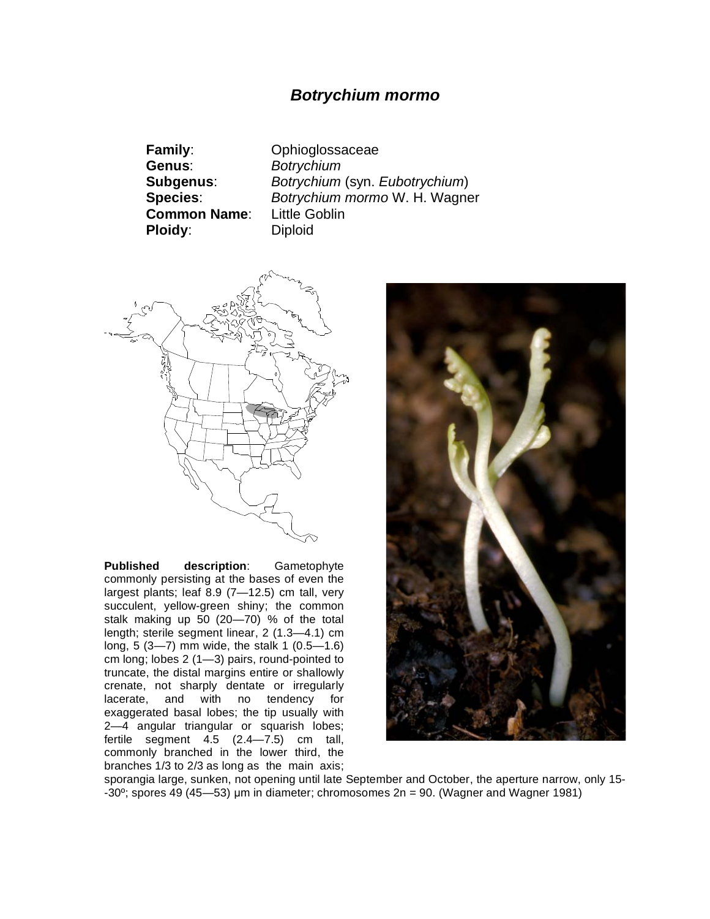## *Botrychium mormo*

**Family**: Ophioglossaceae **Genus**: *Botrychium* **Common Name**: Little Goblin **Ploidy:** Diploid

**Subgenus**: *Botrychium* (syn. *Eubotrychium*) **Species**: *Botrychium mormo* W. H. Wagner



**Published description**: Gametophyte commonly persisting at the bases of even the largest plants; leaf 8.9 (7—12.5) cm tall, very succulent, yellow-green shiny; the common stalk making up 50 (20—70) % of the total length; sterile segment linear, 2 (1.3—4.1) cm long, 5 (3—7) mm wide, the stalk 1 (0.5—1.6) cm long; lobes 2 (1—3) pairs, round-pointed to truncate, the distal margins entire or shallowly crenate, not sharply dentate or irregularly lacerate, and with no tendency for exaggerated basal lobes; the tip usually with 2—4 angular triangular or squarish lobes; fertile segment 4.5 (2.4—7.5) cm tall, commonly branched in the lower third, the branches 1/3 to 2/3 as long as the main axis;



sporangia large, sunken, not opening until late September and October, the aperture narrow, only 15- -30°; spores 49 (45—53) µm in diameter; chromosomes  $2n = 90$ . (Wagner and Wagner 1981)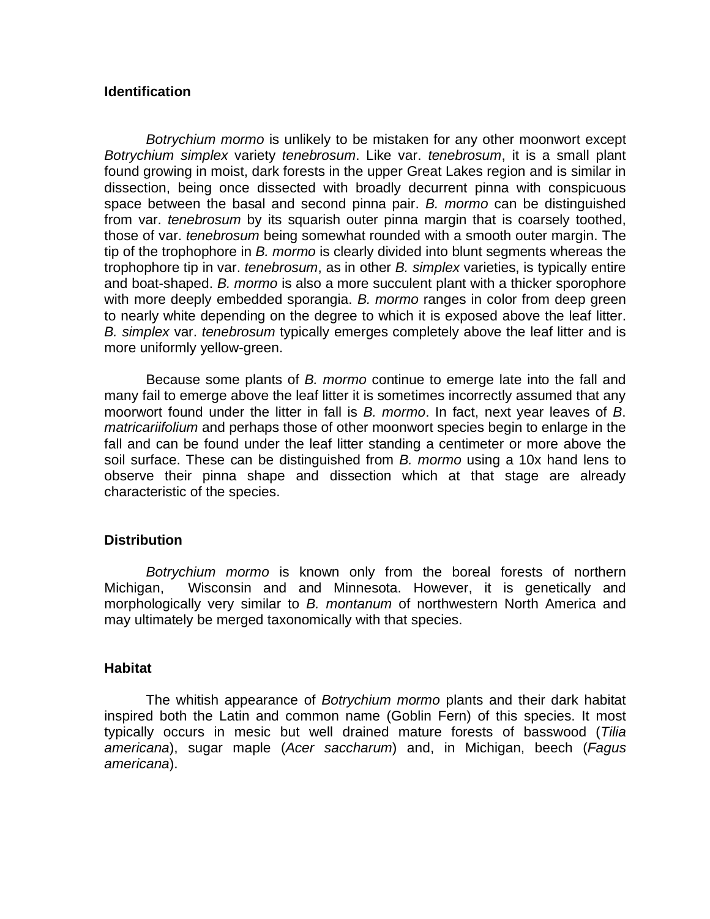## **Identification**

*Botrychium mormo* is unlikely to be mistaken for any other moonwort except *Botrychium simplex* variety *tenebrosum*. Like var. *tenebrosum*, it is a small plant found growing in moist, dark forests in the upper Great Lakes region and is similar in dissection, being once dissected with broadly decurrent pinna with conspicuous space between the basal and second pinna pair. *B. mormo* can be distinguished from var. *tenebrosum* by its squarish outer pinna margin that is coarsely toothed, those of var. *tenebrosum* being somewhat rounded with a smooth outer margin. The tip of the trophophore in *B. mormo* is clearly divided into blunt segments whereas the trophophore tip in var. *tenebrosum*, as in other *B. simplex* varieties, is typically entire and boat-shaped. *B. mormo* is also a more succulent plant with a thicker sporophore with more deeply embedded sporangia. *B. mormo* ranges in color from deep green to nearly white depending on the degree to which it is exposed above the leaf litter. *B. simplex* var. *tenebrosum* typically emerges completely above the leaf litter and is more uniformly yellow-green.

Because some plants of *B. mormo* continue to emerge late into the fall and many fail to emerge above the leaf litter it is sometimes incorrectly assumed that any moorwort found under the litter in fall is *B. mormo*. In fact, next year leaves of *B*. *matricariifolium* and perhaps those of other moonwort species begin to enlarge in the fall and can be found under the leaf litter standing a centimeter or more above the soil surface. These can be distinguished from *B. mormo* using a 10x hand lens to observe their pinna shape and dissection which at that stage are already characteristic of the species.

## **Distribution**

*Botrychium mormo* is known only from the boreal forests of northern Michigan, Wisconsin and and Minnesota. However, it is genetically and morphologically very similar to *B. montanum* of northwestern North America and may ultimately be merged taxonomically with that species.

## **Habitat**

 The whitish appearance of *Botrychium mormo* plants and their dark habitat inspired both the Latin and common name (Goblin Fern) of this species. It most typically occurs in mesic but well drained mature forests of basswood (*Tilia americana*), sugar maple (*Acer saccharum*) and, in Michigan, beech (*Fagus americana*).